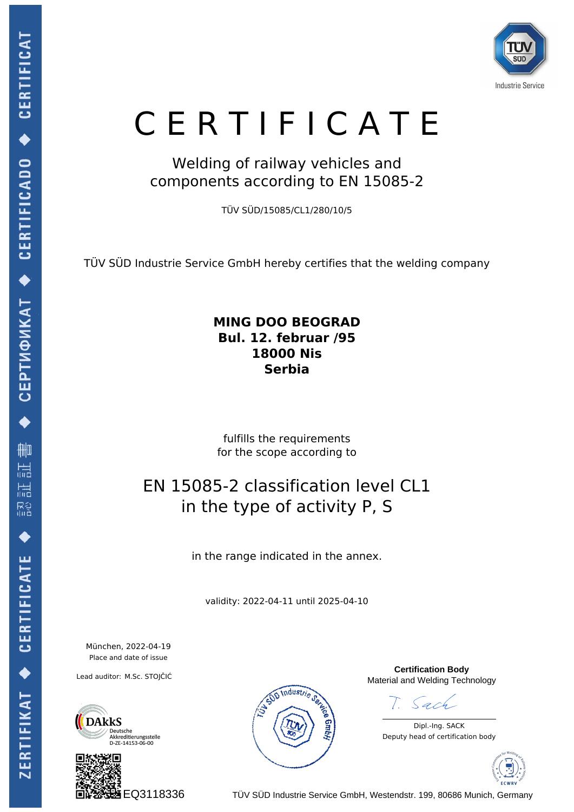

# C E R T I F I C A T E

Welding of railway vehicles and components according to EN 15085-2

TÜV SÜD/15085/CL1/280/10/5

TÜV SÜD Industrie Service GmbH hereby certifies that the welding company

#### **MING DOO BEOGRAD Bul. 12. februar /95 18000 Nis Serbia**

fulfills the requirements for the scope according to

### EN 15085-2 classification level CL1 in the type of activity P, S

in the range indicated in the annex.

validity: 2022-04-11 until 2025-04-10

München, 2022-04-19 Place and date of issue

Lead auditor: M.Sc. STOJČIĆ







**Certification Body** Material and Welding Technology

Dipl.-Ing. SACK Deputy head of certification body



EQ3118336 TÜV SÜD Industrie Service GmbH, Westendstr. 199, 80686 Munich, Germany